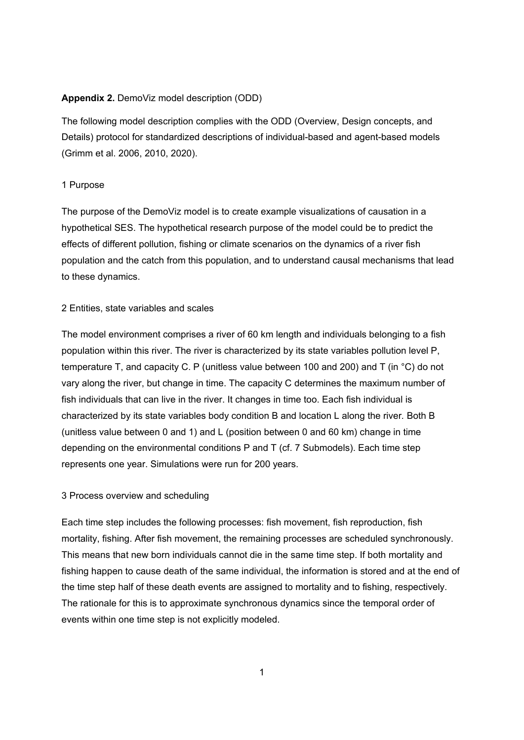# **Appendix 2.** DemoViz model description (ODD)

The following model description complies with the ODD (Overview, Design concepts, and Details) protocol for standardized descriptions of individual-based and agent-based models (Grimm et al. 2006, 2010, 2020).

### 1 Purpose

The purpose of the DemoViz model is to create example visualizations of causation in a hypothetical SES. The hypothetical research purpose of the model could be to predict the effects of different pollution, fishing or climate scenarios on the dynamics of a river fish population and the catch from this population, and to understand causal mechanisms that lead to these dynamics.

# 2 Entities, state variables and scales

The model environment comprises a river of 60 km length and individuals belonging to a fish population within this river. The river is characterized by its state variables pollution level P, temperature T, and capacity C. P (unitless value between 100 and 200) and T (in °C) do not vary along the river, but change in time. The capacity C determines the maximum number of fish individuals that can live in the river. It changes in time too. Each fish individual is characterized by its state variables body condition B and location L along the river*.* Both B (unitless value between 0 and 1) and L (position between 0 and 60 km) change in time depending on the environmental conditions P and T (cf. 7 Submodels). Each time step represents one year. Simulations were run for 200 years.

# 3 Process overview and scheduling

Each time step includes the following processes: fish movement, fish reproduction, fish mortality, fishing. After fish movement, the remaining processes are scheduled synchronously. This means that new born individuals cannot die in the same time step. If both mortality and fishing happen to cause death of the same individual, the information is stored and at the end of the time step half of these death events are assigned to mortality and to fishing, respectively. The rationale for this is to approximate synchronous dynamics since the temporal order of events within one time step is not explicitly modeled.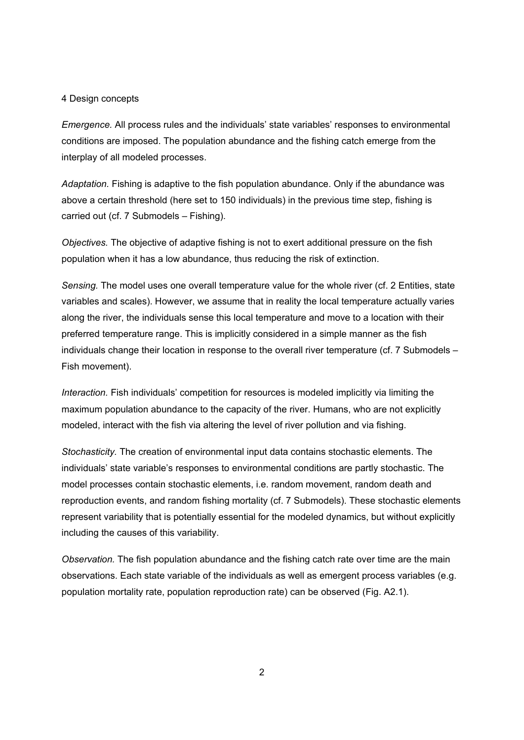### 4 Design concepts

*Emergence.* All process rules and the individuals' state variables' responses to environmental conditions are imposed. The population abundance and the fishing catch emerge from the interplay of all modeled processes.

*Adaptation.* Fishing is adaptive to the fish population abundance. Only if the abundance was above a certain threshold (here set to 150 individuals) in the previous time step, fishing is carried out (cf. 7 Submodels – Fishing).

*Objectives.* The objective of adaptive fishing is not to exert additional pressure on the fish population when it has a low abundance, thus reducing the risk of extinction.

*Sensing.* The model uses one overall temperature value for the whole river (cf. 2 Entities, state variables and scales). However, we assume that in reality the local temperature actually varies along the river, the individuals sense this local temperature and move to a location with their preferred temperature range. This is implicitly considered in a simple manner as the fish individuals change their location in response to the overall river temperature (cf. 7 Submodels – Fish movement).

*Interaction.* Fish individuals' competition for resources is modeled implicitly via limiting the maximum population abundance to the capacity of the river. Humans, who are not explicitly modeled, interact with the fish via altering the level of river pollution and via fishing.

*Stochasticity.* The creation of environmental input data contains stochastic elements. The individuals' state variable's responses to environmental conditions are partly stochastic. The model processes contain stochastic elements, i.e. random movement, random death and reproduction events, and random fishing mortality (cf. 7 Submodels). These stochastic elements represent variability that is potentially essential for the modeled dynamics, but without explicitly including the causes of this variability.

*Observation.* The fish population abundance and the fishing catch rate over time are the main observations. Each state variable of the individuals as well as emergent process variables (e.g. population mortality rate, population reproduction rate) can be observed (Fig. A2.1).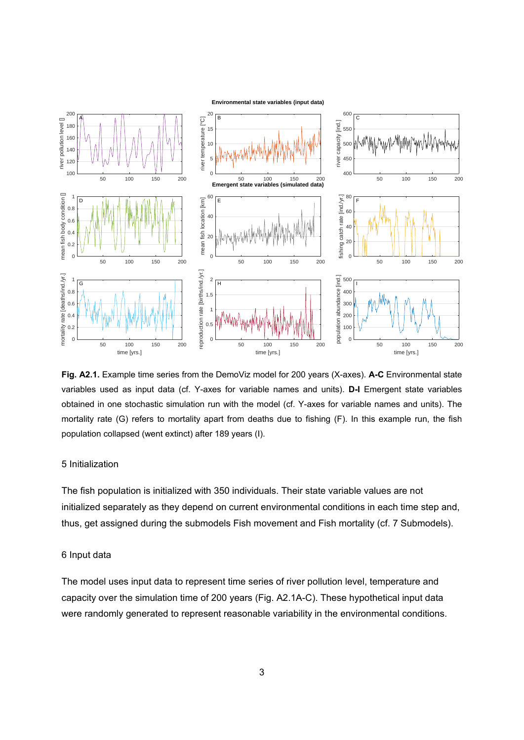

**Fig. A2.1.** Example time series from the DemoViz model for 200 years (X-axes). **A-C** Environmental state variables used as input data (cf. Y-axes for variable names and units). **D-I** Emergent state variables obtained in one stochastic simulation run with the model (cf. Y-axes for variable names and units). The mortality rate (G) refers to mortality apart from deaths due to fishing (F). In this example run, the fish population collapsed (went extinct) after 189 years (I).

# 5 Initialization

The fish population is initialized with 350 individuals. Their state variable values are not initialized separately as they depend on current environmental conditions in each time step and, thus, get assigned during the submodels Fish movement and Fish mortality (cf. 7 Submodels).

# 6 Input data

The model uses input data to represent time series of river pollution level, temperature and capacity over the simulation time of 200 years (Fig. A2.1A-C). These hypothetical input data were randomly generated to represent reasonable variability in the environmental conditions.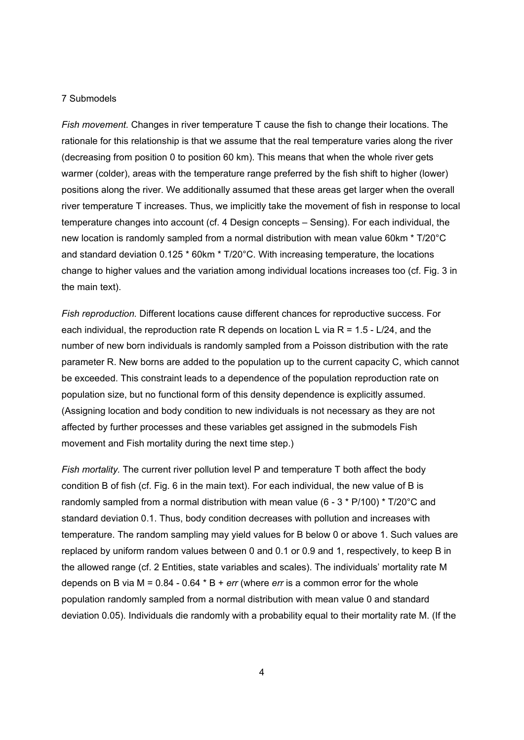#### 7 Submodels

*Fish movement.* Changes in river temperature T cause the fish to change their locations. The rationale for this relationship is that we assume that the real temperature varies along the river (decreasing from position 0 to position 60 km). This means that when the whole river gets warmer (colder), areas with the temperature range preferred by the fish shift to higher (lower) positions along the river. We additionally assumed that these areas get larger when the overall river temperature T increases. Thus, we implicitly take the movement of fish in response to local temperature changes into account (cf. 4 Design concepts – Sensing). For each individual, the new location is randomly sampled from a normal distribution with mean value 60km \* T/20°C and standard deviation 0.125 \* 60km \* T/20°C. With increasing temperature, the locations change to higher values and the variation among individual locations increases too (cf. Fig. 3 in the main text).

*Fish reproduction.* Different locations cause different chances for reproductive success. For each individual, the reproduction rate R depends on location L via  $R = 1.5 - L/24$ , and the number of new born individuals is randomly sampled from a Poisson distribution with the rate parameter R. New borns are added to the population up to the current capacity C, which cannot be exceeded. This constraint leads to a dependence of the population reproduction rate on population size, but no functional form of this density dependence is explicitly assumed. (Assigning location and body condition to new individuals is not necessary as they are not affected by further processes and these variables get assigned in the submodels Fish movement and Fish mortality during the next time step.)

*Fish mortality.* The current river pollution level P and temperature T both affect the body condition B of fish (cf. Fig. 6 in the main text). For each individual, the new value of B is randomly sampled from a normal distribution with mean value (6 - 3 \* P/100) \* T/20°C and standard deviation 0.1. Thus, body condition decreases with pollution and increases with temperature. The random sampling may yield values for B below 0 or above 1. Such values are replaced by uniform random values between 0 and 0.1 or 0.9 and 1, respectively, to keep B in the allowed range (cf. 2 Entities, state variables and scales). The individuals' mortality rate M depends on B via M = 0.84 - 0.64 \* B + *err* (where *err* is a common error for the whole population randomly sampled from a normal distribution with mean value 0 and standard deviation 0.05). Individuals die randomly with a probability equal to their mortality rate M. (If the

4